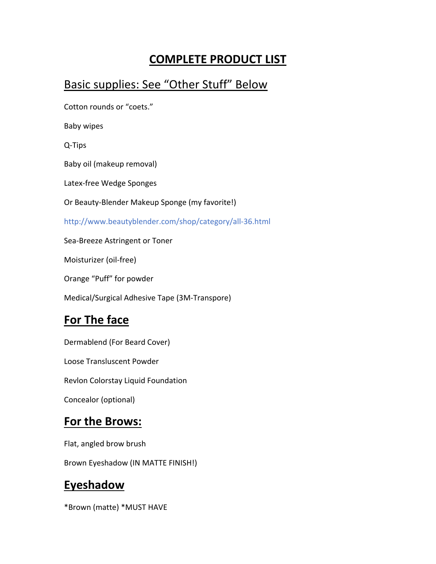# **COMPLETE PRODUCT LIST**

### Basic supplies: See "Other Stuff" Below

Cotton rounds or "coets."

Baby wipes

Q‐Tips

Baby oil (makeup removal)

Latex‐free Wedge Sponges

Or Beauty‐Blender Makeup Sponge (my favorite!)

http://www.beautyblender.com/shop/category/all‐36.html

Sea‐Breeze Astringent or Toner

Moisturizer (oil‐free)

Orange "Puff" for powder

Medical/Surgical Adhesive Tape (3M‐Transpore)

## **For The face**

Dermablend (For Beard Cover)

Loose Transluscent Powder

Revlon Colorstay Liquid Foundation

Concealor (optional)

#### **For the Brows:**

Flat, angled brow brush

Brown Eyeshadow (IN MATTE FINISH!)

#### **Eyeshadow**

\*Brown (matte) \*MUST HAVE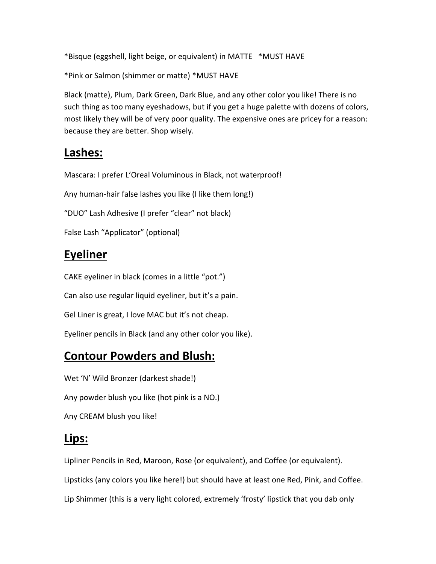\*Bisque (eggshell, light beige, or equivalent) in MATTE \*MUST HAVE

\*Pink or Salmon (shimmer or matte) \*MUST HAVE

Black (matte), Plum, Dark Green, Dark Blue, and any other color you like! There is no such thing as too many eyeshadows, but if you get a huge palette with dozens of colors, most likely they will be of very poor quality. The expensive ones are pricey for a reason: because they are better. Shop wisely.

## **Lashes:**

Mascara: I prefer L'Oreal Voluminous in Black, not waterproof!

Any human‐hair false lashes you like (I like them long!)

"DUO" Lash Adhesive (I prefer "clear" not black)

False Lash "Applicator" (optional)

## **Eyeliner**

CAKE eyeliner in black (comes in a little "pot.")

Can also use regular liquid eyeliner, but it's a pain.

Gel Liner is great, I love MAC but it's not cheap.

Eyeliner pencils in Black (and any other color you like).

#### **Contour Powders and Blush:**

Wet 'N' Wild Bronzer (darkest shade!) Any powder blush you like (hot pink is a NO.)

Any CREAM blush you like!

#### **Lips:**

Lipliner Pencils in Red, Maroon, Rose (or equivalent), and Coffee (or equivalent). Lipsticks (any colors you like here!) but should have at least one Red, Pink, and Coffee. Lip Shimmer (this is a very light colored, extremely 'frosty' lipstick that you dab only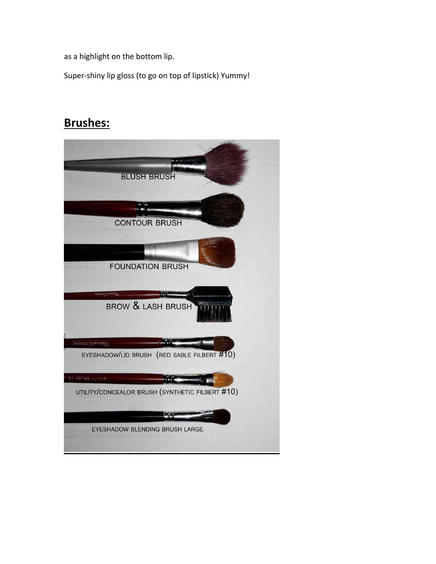as a highlight on the bottom lip.

Super‐shiny lip gloss (to go on top of lipstick) Yummy!

### **Brushes:**

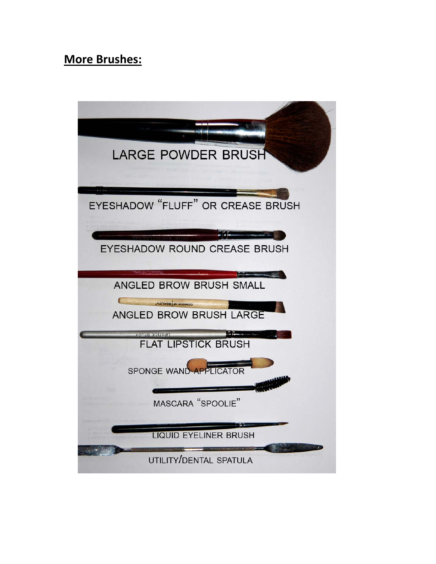### **More Brushes:**